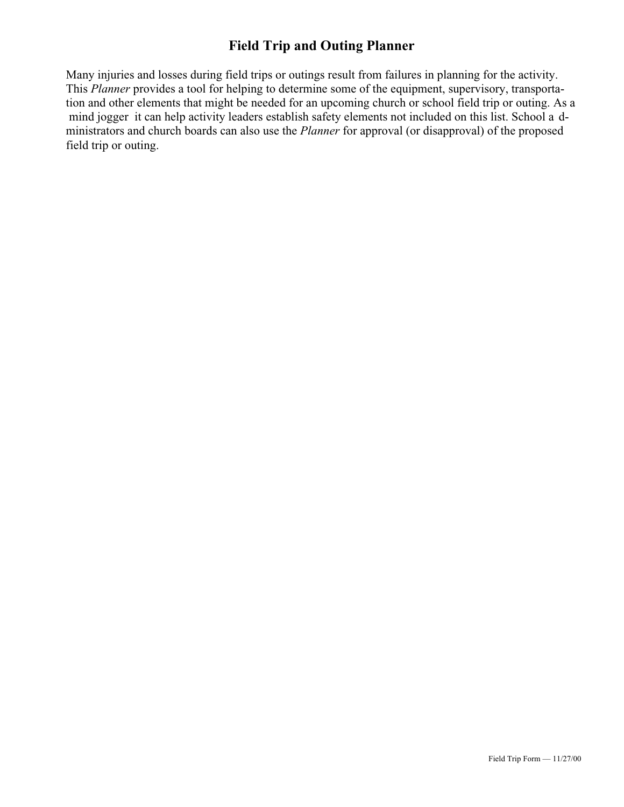## **Field Trip and Outing Planner**

Many injuries and losses during field trips or outings result from failures in planning for the activity. This *Planner* provides a tool for helping to determine some of the equipment, supervisory, transportation and other elements that might be needed for an upcoming church or school field trip or outing. As a mind jogger it can help activity leaders establish safety elements not included on this list. School a dministrators and church boards can also use the *Planner* for approval (or disapproval) of the proposed field trip or outing.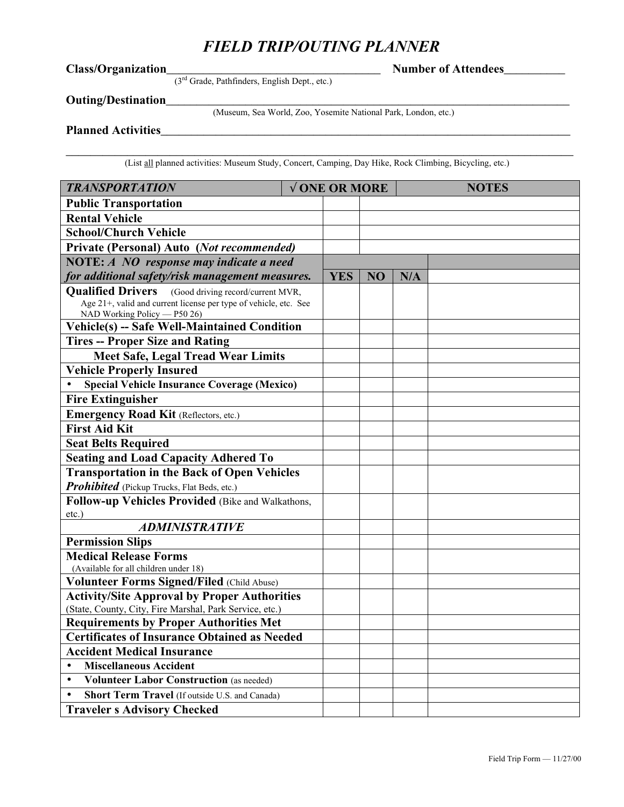## *FIELD TRIP/OUTING PLANNER*

**Class/Organization**\_\_\_\_\_\_\_\_\_\_\_\_\_\_\_\_\_\_\_\_\_\_\_\_\_\_\_\_\_\_\_\_\_\_\_

**Number of Attendees**\_\_\_\_\_\_\_\_\_\_

(3rd Grade, Pathfinders, English Dept., etc.)

Outing/Destination\_

(Museum, Sea World, Zoo, Yosemite National Park, London, etc.)

**Planned Activities**\_\_\_\_\_\_\_\_\_\_\_\_\_\_\_\_\_\_\_\_\_\_\_\_\_\_\_\_\_\_\_\_\_\_\_\_\_\_\_\_\_\_\_\_\_\_\_\_\_\_\_\_\_\_\_\_\_\_\_\_\_\_\_\_\_\_\_

\_\_\_\_\_\_\_\_\_\_\_\_\_\_\_\_\_\_\_\_\_\_\_\_\_\_\_\_\_\_\_\_\_\_\_\_\_\_\_\_\_\_\_\_\_\_\_\_\_\_\_\_\_\_\_\_\_\_\_\_\_\_\_\_\_\_\_\_\_\_\_\_\_\_\_\_\_\_\_\_\_\_\_ (List all planned activities: Museum Study, Concert, Camping, Day Hike, Rock Climbing, Bicycling, etc.)

| <b>TRANSPORTATION</b>                                                                            | $\sqrt{}$ ONE OR MORE |            |    | <b>NOTES</b> |  |  |
|--------------------------------------------------------------------------------------------------|-----------------------|------------|----|--------------|--|--|
| <b>Public Transportation</b>                                                                     |                       |            |    |              |  |  |
| <b>Rental Vehicle</b>                                                                            |                       |            |    |              |  |  |
| <b>School/Church Vehicle</b>                                                                     |                       |            |    |              |  |  |
| Private (Personal) Auto (Not recommended)                                                        |                       |            |    |              |  |  |
| NOTE: A NO response may indicate a need                                                          |                       |            |    |              |  |  |
| for additional safety/risk management measures.                                                  |                       | <b>YES</b> | NO | N/A          |  |  |
| <b>Qualified Drivers</b> (Good driving record/current MVR,                                       |                       |            |    |              |  |  |
| Age 21+, valid and current license per type of vehicle, etc. See<br>NAD Working Policy - P50 26) |                       |            |    |              |  |  |
| Vehicle(s) -- Safe Well-Maintained Condition                                                     |                       |            |    |              |  |  |
| <b>Tires -- Proper Size and Rating</b>                                                           |                       |            |    |              |  |  |
| <b>Meet Safe, Legal Tread Wear Limits</b>                                                        |                       |            |    |              |  |  |
| <b>Vehicle Properly Insured</b>                                                                  |                       |            |    |              |  |  |
| <b>Special Vehicle Insurance Coverage (Mexico)</b>                                               |                       |            |    |              |  |  |
| <b>Fire Extinguisher</b>                                                                         |                       |            |    |              |  |  |
| <b>Emergency Road Kit (Reflectors, etc.)</b>                                                     |                       |            |    |              |  |  |
| <b>First Aid Kit</b>                                                                             |                       |            |    |              |  |  |
| <b>Seat Belts Required</b>                                                                       |                       |            |    |              |  |  |
| <b>Seating and Load Capacity Adhered To</b>                                                      |                       |            |    |              |  |  |
| <b>Transportation in the Back of Open Vehicles</b>                                               |                       |            |    |              |  |  |
| Prohibited (Pickup Trucks, Flat Beds, etc.)                                                      |                       |            |    |              |  |  |
| Follow-up Vehicles Provided (Bike and Walkathons,                                                |                       |            |    |              |  |  |
| etc.)                                                                                            |                       |            |    |              |  |  |
| <b>ADMINISTRATIVE</b>                                                                            |                       |            |    |              |  |  |
| <b>Permission Slips</b>                                                                          |                       |            |    |              |  |  |
| <b>Medical Release Forms</b><br>(Available for all children under 18)                            |                       |            |    |              |  |  |
| Volunteer Forms Signed/Filed (Child Abuse)                                                       |                       |            |    |              |  |  |
| <b>Activity/Site Approval by Proper Authorities</b>                                              |                       |            |    |              |  |  |
| (State, County, City, Fire Marshal, Park Service, etc.)                                          |                       |            |    |              |  |  |
| <b>Requirements by Proper Authorities Met</b>                                                    |                       |            |    |              |  |  |
| <b>Certificates of Insurance Obtained as Needed</b>                                              |                       |            |    |              |  |  |
| <b>Accident Medical Insurance</b>                                                                |                       |            |    |              |  |  |
| <b>Miscellaneous Accident</b><br>$\bullet$                                                       |                       |            |    |              |  |  |
| <b>Volunteer Labor Construction</b> (as needed)<br>$\bullet$                                     |                       |            |    |              |  |  |
| <b>Short Term Travel</b> (If outside U.S. and Canada)<br>$\bullet$                               |                       |            |    |              |  |  |
| <b>Traveler s Advisory Checked</b>                                                               |                       |            |    |              |  |  |